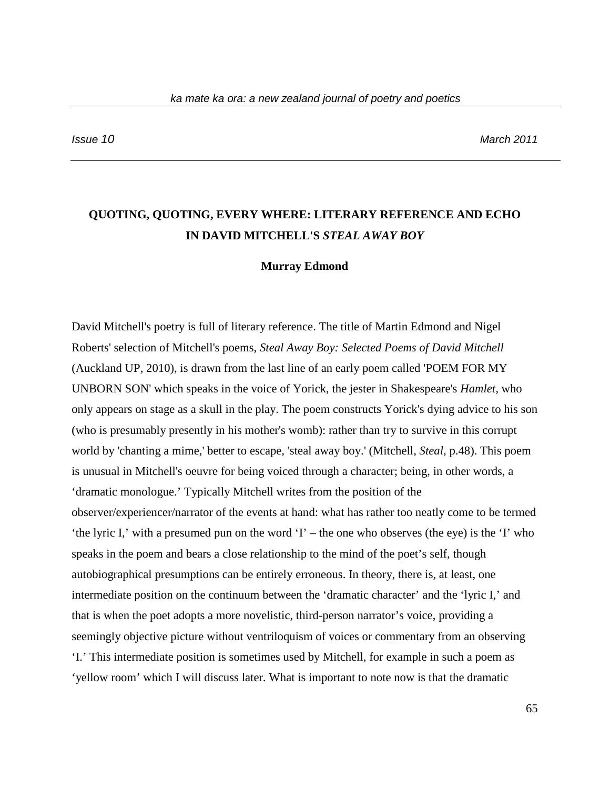# **QUOTING, QUOTING, EVERY WHERE: LITERARY REFERENCE AND ECHO IN DAVID MITCHELL'S** *STEAL AWAY BOY*

#### **Murray Edmond**

David Mitchell's poetry is full of literary reference. The title of Martin Edmond and Nigel Roberts' selection of Mitchell's poems, *Steal Away Boy: Selected Poems of David Mitchell*  (Auckland UP, 2010), is drawn from the last line of an early poem called 'POEM FOR MY UNBORN SON' which speaks in the voice of Yorick, the jester in Shakespeare's *Hamlet,* who only appears on stage as a skull in the play. The poem constructs Yorick's dying advice to his son (who is presumably presently in his mother's womb): rather than try to survive in this corrupt world by 'chanting a mime,' better to escape, 'steal away boy.' (Mitchell, *Steal*, p.48). This poem is unusual in Mitchell's oeuvre for being voiced through a character; being, in other words, a 'dramatic monologue.' Typically Mitchell writes from the position of the observer/experiencer/narrator of the events at hand: what has rather too neatly come to be termed 'the lyric I,' with a presumed pun on the word 'I' – the one who observes (the eye) is the 'I' who speaks in the poem and bears a close relationship to the mind of the poet's self, though autobiographical presumptions can be entirely erroneous. In theory, there is, at least, one intermediate position on the continuum between the 'dramatic character' and the 'lyric I,' and that is when the poet adopts a more novelistic, third-person narrator's voice, providing a seemingly objective picture without ventriloquism of voices or commentary from an observing 'I.' This intermediate position is sometimes used by Mitchell, for example in such a poem as 'yellow room' which I will discuss later. What is important to note now is that the dramatic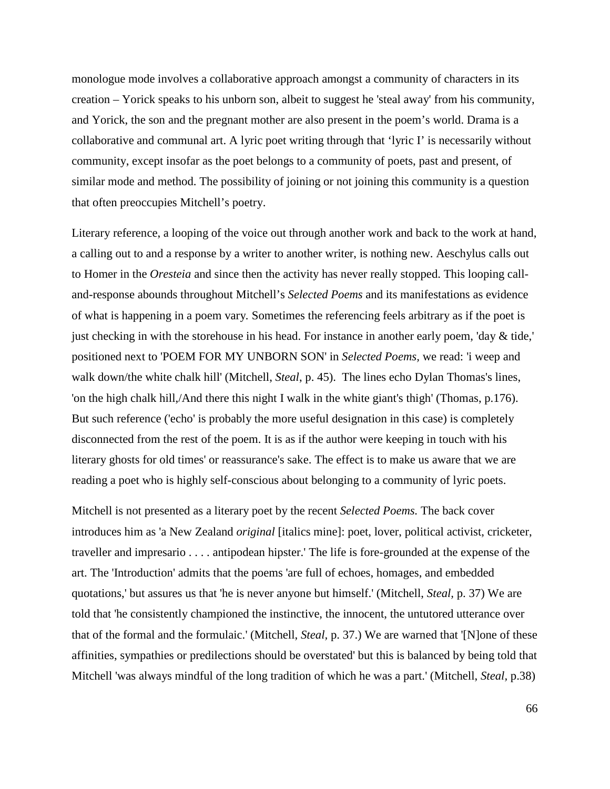monologue mode involves a collaborative approach amongst a community of characters in its creation – Yorick speaks to his unborn son, albeit to suggest he 'steal away' from his community, and Yorick, the son and the pregnant mother are also present in the poem's world. Drama is a collaborative and communal art. A lyric poet writing through that 'lyric I' is necessarily without community, except insofar as the poet belongs to a community of poets, past and present, of similar mode and method. The possibility of joining or not joining this community is a question that often preoccupies Mitchell's poetry.

Literary reference, a looping of the voice out through another work and back to the work at hand, a calling out to and a response by a writer to another writer, is nothing new. Aeschylus calls out to Homer in the *Oresteia* and since then the activity has never really stopped. This looping calland-response abounds throughout Mitchell's *Selected Poems* and its manifestations as evidence of what is happening in a poem vary*.* Sometimes the referencing feels arbitrary as if the poet is just checking in with the storehouse in his head. For instance in another early poem, 'day & tide,' positioned next to 'POEM FOR MY UNBORN SON' in *Selected Poems,* we read: 'i weep and walk down/the white chalk hill' (Mitchell, *Steal*, p. 45). The lines echo Dylan Thomas's lines, 'on the high chalk hill,/And there this night I walk in the white giant's thigh' (Thomas, p.176). But such reference ('echo' is probably the more useful designation in this case) is completely disconnected from the rest of the poem. It is as if the author were keeping in touch with his literary ghosts for old times' or reassurance's sake. The effect is to make us aware that we are reading a poet who is highly self-conscious about belonging to a community of lyric poets.

Mitchell is not presented as a literary poet by the recent *Selected Poems.* The back cover introduces him as 'a New Zealand *original* [italics mine]: poet, lover, political activist, cricketer, traveller and impresario . . . . antipodean hipster.' The life is fore-grounded at the expense of the art. The 'Introduction' admits that the poems 'are full of echoes, homages, and embedded quotations,' but assures us that 'he is never anyone but himself.' (Mitchell, *Steal,* p. 37) We are told that 'he consistently championed the instinctive, the innocent, the untutored utterance over that of the formal and the formulaic.' (Mitchell, *Steal,* p. 37.) We are warned that '[N]one of these affinities, sympathies or predilections should be overstated' but this is balanced by being told that Mitchell 'was always mindful of the long tradition of which he was a part.' (Mitchell, *Steal,* p.38)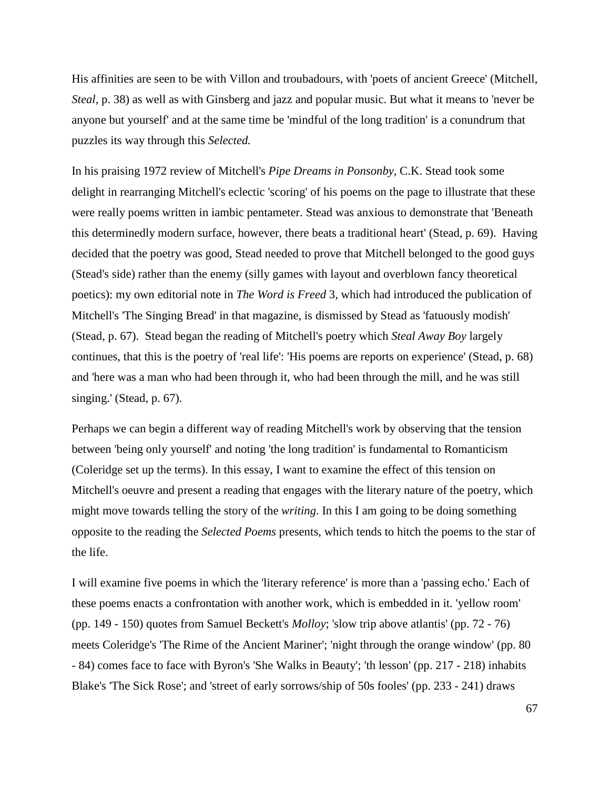His affinities are seen to be with Villon and troubadours, with 'poets of ancient Greece' (Mitchell, *Steal,* p. 38) as well as with Ginsberg and jazz and popular music. But what it means to 'never be anyone but yourself' and at the same time be 'mindful of the long tradition' is a conundrum that puzzles its way through this *Selected.*

In his praising 1972 review of Mitchell's *Pipe Dreams in Ponsonby,* C.K. Stead took some delight in rearranging Mitchell's eclectic 'scoring' of his poems on the page to illustrate that these were really poems written in iambic pentameter. Stead was anxious to demonstrate that 'Beneath this determinedly modern surface, however, there beats a traditional heart' (Stead, p. 69). Having decided that the poetry was good, Stead needed to prove that Mitchell belonged to the good guys (Stead's side) rather than the enemy (silly games with layout and overblown fancy theoretical poetics): my own editorial note in *The Word is Freed* 3, which had introduced the publication of Mitchell's 'The Singing Bread' in that magazine, is dismissed by Stead as 'fatuously modish' (Stead, p. 67). Stead began the reading of Mitchell's poetry which *Steal Away Boy* largely continues, that this is the poetry of 'real life': 'His poems are reports on experience' (Stead, p. 68) and 'here was a man who had been through it, who had been through the mill, and he was still singing.' (Stead, p. 67).

Perhaps we can begin a different way of reading Mitchell's work by observing that the tension between 'being only yourself' and noting 'the long tradition' is fundamental to Romanticism (Coleridge set up the terms). In this essay, I want to examine the effect of this tension on Mitchell's oeuvre and present a reading that engages with the literary nature of the poetry, which might move towards telling the story of the *writing*. In this I am going to be doing something opposite to the reading the *Selected Poems* presents, which tends to hitch the poems to the star of the life.

I will examine five poems in which the 'literary reference' is more than a 'passing echo.' Each of these poems enacts a confrontation with another work, which is embedded in it. 'yellow room' (pp. 149 - 150) quotes from Samuel Beckett's *Molloy*; 'slow trip above atlantis' (pp. 72 - 76) meets Coleridge's 'The Rime of the Ancient Mariner'; 'night through the orange window' (pp. 80 - 84) comes face to face with Byron's 'She Walks in Beauty'; 'th lesson' (pp. 217 - 218) inhabits Blake's 'The Sick Rose'; and 'street of early sorrows/ship of 50s fooles' (pp. 233 - 241) draws

67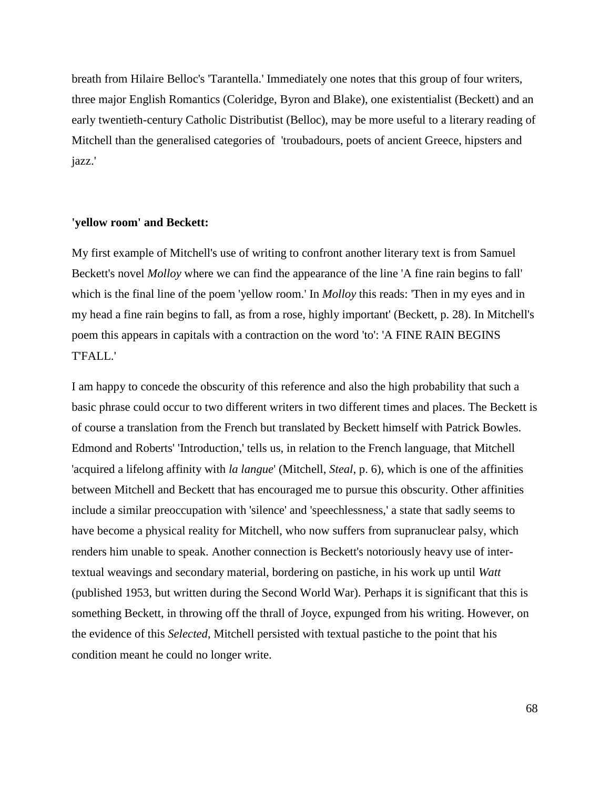breath from Hilaire Belloc's 'Tarantella.' Immediately one notes that this group of four writers, three major English Romantics (Coleridge, Byron and Blake), one existentialist (Beckett) and an early twentieth-century Catholic Distributist (Belloc), may be more useful to a literary reading of Mitchell than the generalised categories of 'troubadours, poets of ancient Greece, hipsters and jazz.'

## **'yellow room' and Beckett:**

My first example of Mitchell's use of writing to confront another literary text is from Samuel Beckett's novel *Molloy* where we can find the appearance of the line 'A fine rain begins to fall' which is the final line of the poem 'yellow room.' In *Molloy* this reads: 'Then in my eyes and in my head a fine rain begins to fall, as from a rose, highly important' (Beckett, p. 28). In Mitchell's poem this appears in capitals with a contraction on the word 'to': 'A FINE RAIN BEGINS T'FALL.'

I am happy to concede the obscurity of this reference and also the high probability that such a basic phrase could occur to two different writers in two different times and places. The Beckett is of course a translation from the French but translated by Beckett himself with Patrick Bowles. Edmond and Roberts' 'Introduction,' tells us, in relation to the French language, that Mitchell 'acquired a lifelong affinity with *la langue*' (Mitchell, *Steal*, p. 6), which is one of the affinities between Mitchell and Beckett that has encouraged me to pursue this obscurity. Other affinities include a similar preoccupation with 'silence' and 'speechlessness,' a state that sadly seems to have become a physical reality for Mitchell, who now suffers from supranuclear palsy, which renders him unable to speak. Another connection is Beckett's notoriously heavy use of intertextual weavings and secondary material, bordering on pastiche, in his work up until *Watt*  (published 1953, but written during the Second World War). Perhaps it is significant that this is something Beckett, in throwing off the thrall of Joyce, expunged from his writing. However, on the evidence of this *Selected*, Mitchell persisted with textual pastiche to the point that his condition meant he could no longer write.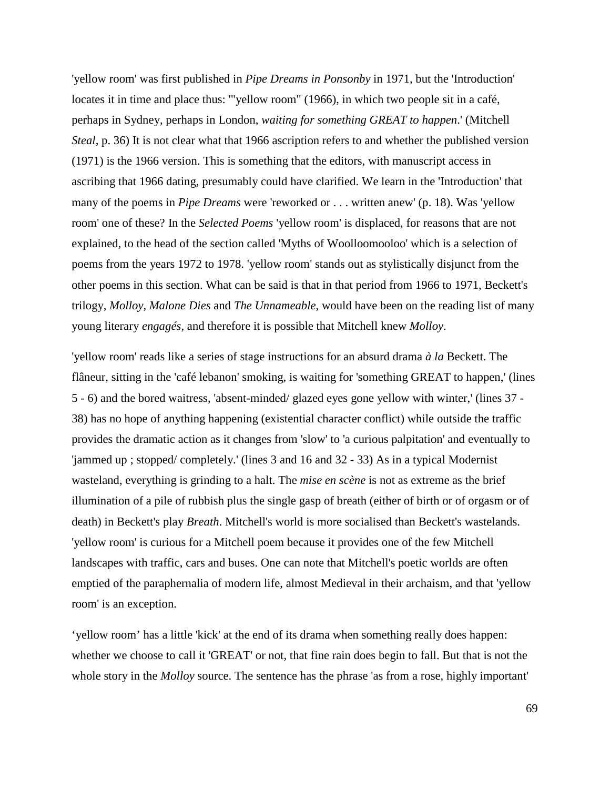'yellow room' was first published in *Pipe Dreams in Ponsonby* in 1971, but the 'Introduction' locates it in time and place thus: '"yellow room" (1966), in which two people sit in a café, perhaps in Sydney, perhaps in London, *waiting for something GREAT to happen*.' (Mitchell *Steal,* p. 36) It is not clear what that 1966 ascription refers to and whether the published version (1971) is the 1966 version. This is something that the editors, with manuscript access in ascribing that 1966 dating, presumably could have clarified. We learn in the 'Introduction' that many of the poems in *Pipe Dreams* were 'reworked or . . . written anew' (p. 18). Was 'yellow room' one of these? In the *Selected Poems* 'yellow room' is displaced, for reasons that are not explained, to the head of the section called 'Myths of Woolloomooloo' which is a selection of poems from the years 1972 to 1978. 'yellow room' stands out as stylistically disjunct from the other poems in this section. What can be said is that in that period from 1966 to 1971, Beckett's trilogy, *Molloy, Malone Dies* and *The Unnameable,* would have been on the reading list of many young literary *engagés,* and therefore it is possible that Mitchell knew *Molloy*.

'yellow room' reads like a series of stage instructions for an absurd drama *à la* Beckett. The flâneur, sitting in the 'café lebanon' smoking, is waiting for 'something GREAT to happen,' (lines 5 - 6) and the bored waitress, 'absent-minded/ glazed eyes gone yellow with winter,' (lines 37 - 38) has no hope of anything happening (existential character conflict) while outside the traffic provides the dramatic action as it changes from 'slow' to 'a curious palpitation' and eventually to 'jammed up ; stopped/ completely.' (lines 3 and 16 and 32 - 33) As in a typical Modernist wasteland, everything is grinding to a halt. The *mise en scène* is not as extreme as the brief illumination of a pile of rubbish plus the single gasp of breath (either of birth or of orgasm or of death) in Beckett's play *Breath*. Mitchell's world is more socialised than Beckett's wastelands. 'yellow room' is curious for a Mitchell poem because it provides one of the few Mitchell landscapes with traffic, cars and buses. One can note that Mitchell's poetic worlds are often emptied of the paraphernalia of modern life, almost Medieval in their archaism, and that 'yellow room' is an exception.

'yellow room' has a little 'kick' at the end of its drama when something really does happen: whether we choose to call it 'GREAT' or not, that fine rain does begin to fall. But that is not the whole story in the *Molloy* source. The sentence has the phrase 'as from a rose, highly important'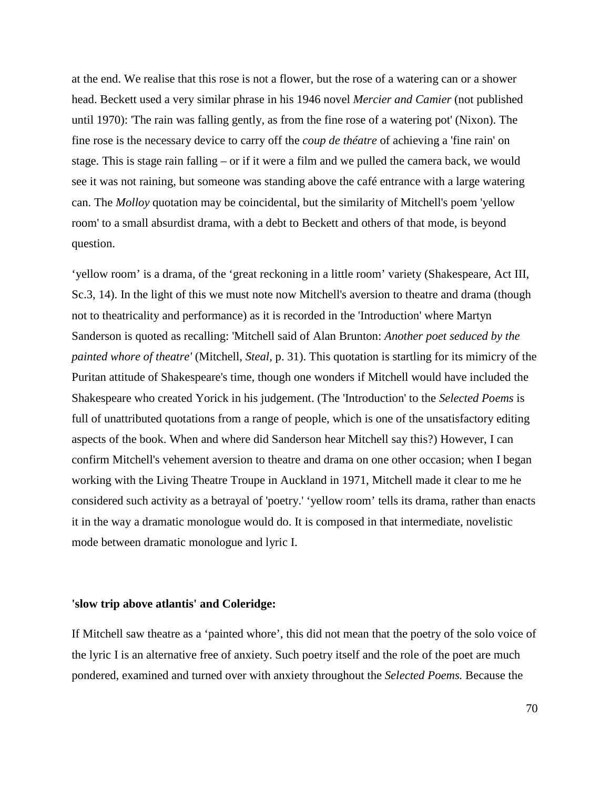at the end. We realise that this rose is not a flower, but the rose of a watering can or a shower head. Beckett used a very similar phrase in his 1946 novel *Mercier and Camier* (not published until 1970): 'The rain was falling gently, as from the fine rose of a watering pot' (Nixon). The fine rose is the necessary device to carry off the *coup de théatre* of achieving a 'fine rain' on stage. This is stage rain falling – or if it were a film and we pulled the camera back, we would see it was not raining, but someone was standing above the café entrance with a large watering can. The *Molloy* quotation may be coincidental, but the similarity of Mitchell's poem 'yellow room' to a small absurdist drama, with a debt to Beckett and others of that mode, is beyond question.

'yellow room' is a drama, of the 'great reckoning in a little room' variety (Shakespeare, Act III, Sc.3, 14). In the light of this we must note now Mitchell's aversion to theatre and drama (though not to theatricality and performance) as it is recorded in the 'Introduction' where Martyn Sanderson is quoted as recalling: 'Mitchell said of Alan Brunton: *Another poet seduced by the painted whore of theatre'* (Mitchell, *Steal,* p. 31). This quotation is startling for its mimicry of the Puritan attitude of Shakespeare's time, though one wonders if Mitchell would have included the Shakespeare who created Yorick in his judgement. (The 'Introduction' to the *Selected Poems* is full of unattributed quotations from a range of people, which is one of the unsatisfactory editing aspects of the book. When and where did Sanderson hear Mitchell say this?) However, I can confirm Mitchell's vehement aversion to theatre and drama on one other occasion; when I began working with the Living Theatre Troupe in Auckland in 1971, Mitchell made it clear to me he considered such activity as a betrayal of 'poetry.' 'yellow room' tells its drama, rather than enacts it in the way a dramatic monologue would do. It is composed in that intermediate, novelistic mode between dramatic monologue and lyric I.

## **'slow trip above atlantis' and Coleridge:**

If Mitchell saw theatre as a 'painted whore', this did not mean that the poetry of the solo voice of the lyric I is an alternative free of anxiety. Such poetry itself and the role of the poet are much pondered, examined and turned over with anxiety throughout the *Selected Poems.* Because the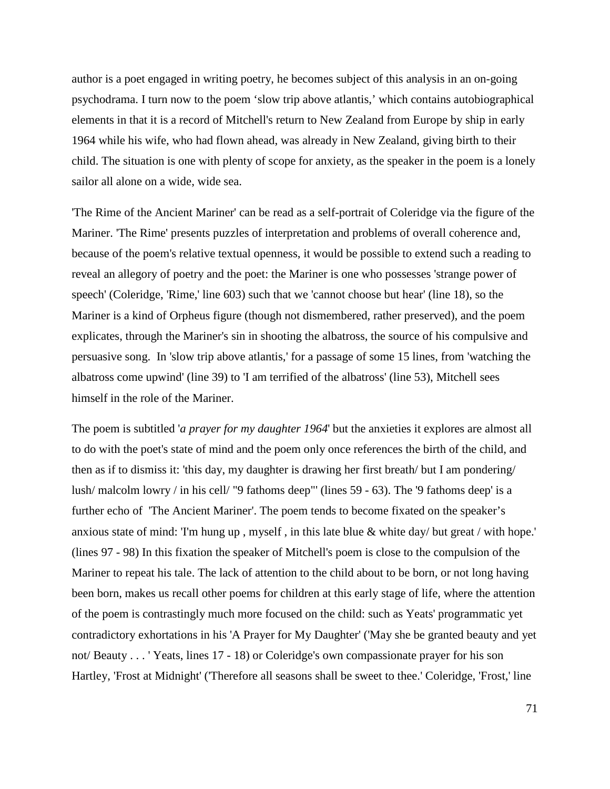author is a poet engaged in writing poetry, he becomes subject of this analysis in an on-going psychodrama. I turn now to the poem 'slow trip above atlantis,' which contains autobiographical elements in that it is a record of Mitchell's return to New Zealand from Europe by ship in early 1964 while his wife, who had flown ahead, was already in New Zealand, giving birth to their child. The situation is one with plenty of scope for anxiety, as the speaker in the poem is a lonely sailor all alone on a wide, wide sea.

'The Rime of the Ancient Mariner' can be read as a self-portrait of Coleridge via the figure of the Mariner. 'The Rime' presents puzzles of interpretation and problems of overall coherence and, because of the poem's relative textual openness, it would be possible to extend such a reading to reveal an allegory of poetry and the poet: the Mariner is one who possesses 'strange power of speech' (Coleridge, 'Rime,' line 603) such that we 'cannot choose but hear' (line 18), so the Mariner is a kind of Orpheus figure (though not dismembered, rather preserved), and the poem explicates, through the Mariner's sin in shooting the albatross, the source of his compulsive and persuasive song. In 'slow trip above atlantis,' for a passage of some 15 lines, from 'watching the albatross come upwind' (line 39) to 'I am terrified of the albatross' (line 53), Mitchell sees himself in the role of the Mariner.

The poem is subtitled '*a prayer for my daughter 1964*' but the anxieties it explores are almost all to do with the poet's state of mind and the poem only once references the birth of the child, and then as if to dismiss it: 'this day, my daughter is drawing her first breath/ but I am pondering/ lush/ malcolm lowry / in his cell/ "9 fathoms deep"' (lines 59 - 63). The '9 fathoms deep' is a further echo of 'The Ancient Mariner'. The poem tends to become fixated on the speaker's anxious state of mind: 'I'm hung up , myself , in this late blue & white day/ but great / with hope.' (lines 97 - 98) In this fixation the speaker of Mitchell's poem is close to the compulsion of the Mariner to repeat his tale. The lack of attention to the child about to be born, or not long having been born, makes us recall other poems for children at this early stage of life, where the attention of the poem is contrastingly much more focused on the child: such as Yeats' programmatic yet contradictory exhortations in his 'A Prayer for My Daughter' ('May she be granted beauty and yet not/ Beauty . . . ' Yeats, lines 17 - 18) or Coleridge's own compassionate prayer for his son Hartley, 'Frost at Midnight' ('Therefore all seasons shall be sweet to thee.' Coleridge, 'Frost,' line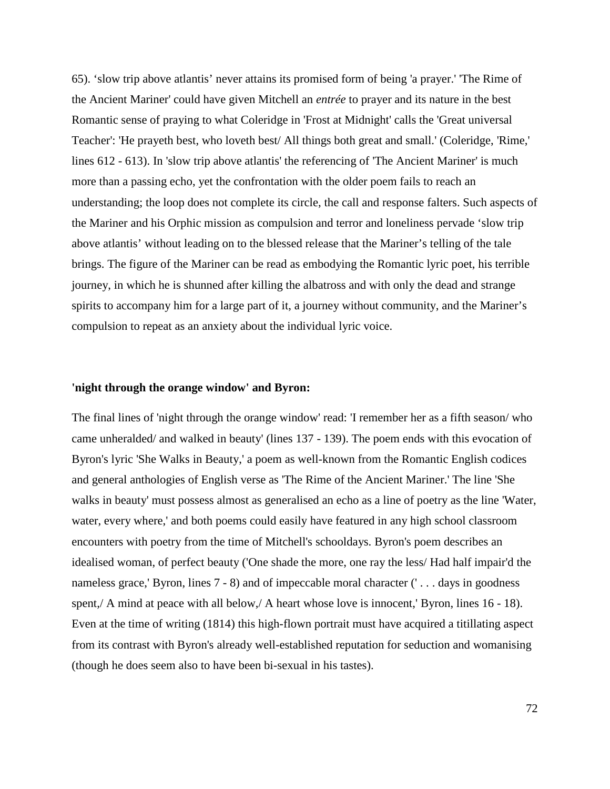65). 'slow trip above atlantis' never attains its promised form of being 'a prayer.' 'The Rime of the Ancient Mariner' could have given Mitchell an *entrée* to prayer and its nature in the best Romantic sense of praying to what Coleridge in 'Frost at Midnight' calls the 'Great universal Teacher': 'He prayeth best, who loveth best/ All things both great and small.' (Coleridge, 'Rime,' lines 612 - 613). In 'slow trip above atlantis' the referencing of 'The Ancient Mariner' is much more than a passing echo, yet the confrontation with the older poem fails to reach an understanding; the loop does not complete its circle, the call and response falters. Such aspects of the Mariner and his Orphic mission as compulsion and terror and loneliness pervade 'slow trip above atlantis' without leading on to the blessed release that the Mariner's telling of the tale brings. The figure of the Mariner can be read as embodying the Romantic lyric poet, his terrible journey, in which he is shunned after killing the albatross and with only the dead and strange spirits to accompany him for a large part of it, a journey without community, and the Mariner's compulsion to repeat as an anxiety about the individual lyric voice.

## **'night through the orange window' and Byron:**

The final lines of 'night through the orange window' read: 'I remember her as a fifth season/ who came unheralded/ and walked in beauty' (lines 137 - 139). The poem ends with this evocation of Byron's lyric 'She Walks in Beauty,' a poem as well-known from the Romantic English codices and general anthologies of English verse as 'The Rime of the Ancient Mariner.' The line 'She walks in beauty' must possess almost as generalised an echo as a line of poetry as the line 'Water, water, every where,' and both poems could easily have featured in any high school classroom encounters with poetry from the time of Mitchell's schooldays. Byron's poem describes an idealised woman, of perfect beauty ('One shade the more, one ray the less/ Had half impair'd the nameless grace,' Byron, lines 7 - 8) and of impeccable moral character ('... days in goodness spent,/ A mind at peace with all below,/ A heart whose love is innocent, Byron, lines 16 - 18). Even at the time of writing (1814) this high-flown portrait must have acquired a titillating aspect from its contrast with Byron's already well-established reputation for seduction and womanising (though he does seem also to have been bi-sexual in his tastes).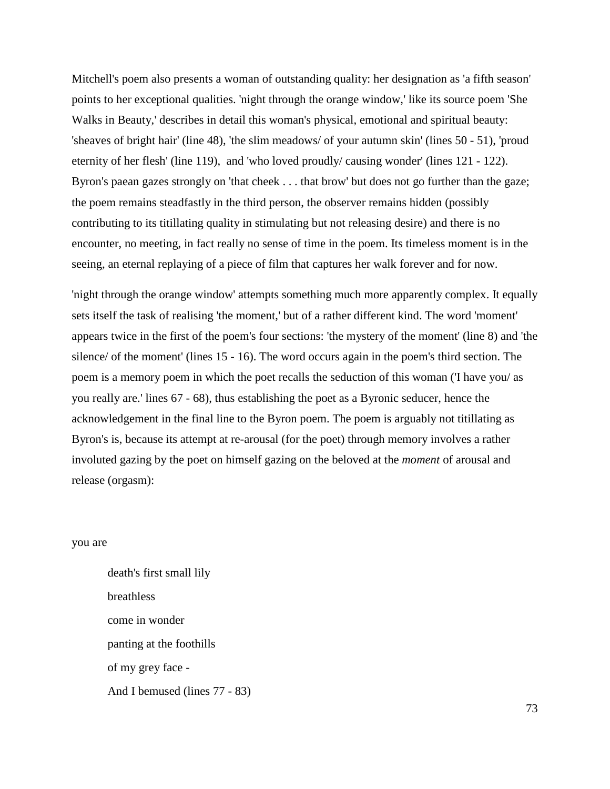Mitchell's poem also presents a woman of outstanding quality: her designation as 'a fifth season' points to her exceptional qualities. 'night through the orange window,' like its source poem 'She Walks in Beauty,' describes in detail this woman's physical, emotional and spiritual beauty: 'sheaves of bright hair' (line 48), 'the slim meadows/ of your autumn skin' (lines 50 - 51), 'proud eternity of her flesh' (line 119), and 'who loved proudly/ causing wonder' (lines 121 - 122). Byron's paean gazes strongly on 'that cheek . . . that brow' but does not go further than the gaze; the poem remains steadfastly in the third person, the observer remains hidden (possibly contributing to its titillating quality in stimulating but not releasing desire) and there is no encounter, no meeting, in fact really no sense of time in the poem. Its timeless moment is in the seeing, an eternal replaying of a piece of film that captures her walk forever and for now.

'night through the orange window' attempts something much more apparently complex. It equally sets itself the task of realising 'the moment,' but of a rather different kind. The word 'moment' appears twice in the first of the poem's four sections: 'the mystery of the moment' (line 8) and 'the silence/ of the moment' (lines 15 - 16). The word occurs again in the poem's third section. The poem is a memory poem in which the poet recalls the seduction of this woman ('I have you/ as you really are.' lines 67 - 68), thus establishing the poet as a Byronic seducer, hence the acknowledgement in the final line to the Byron poem. The poem is arguably not titillating as Byron's is, because its attempt at re-arousal (for the poet) through memory involves a rather involuted gazing by the poet on himself gazing on the beloved at the *moment* of arousal and release (orgasm):

## you are

death's first small lily breathless come in wonder panting at the foothills of my grey face - And I bemused (lines 77 - 83)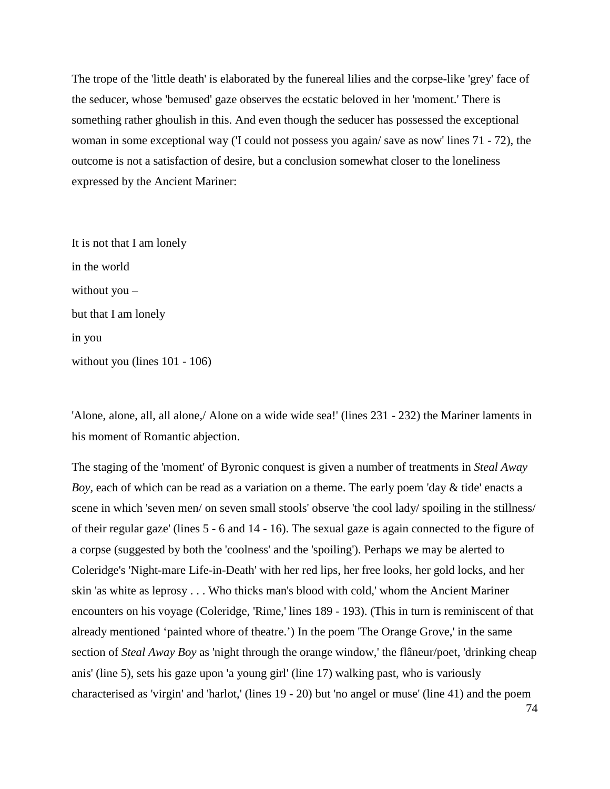The trope of the 'little death' is elaborated by the funereal lilies and the corpse-like 'grey' face of the seducer, whose 'bemused' gaze observes the ecstatic beloved in her 'moment.' There is something rather ghoulish in this. And even though the seducer has possessed the exceptional woman in some exceptional way ('I could not possess you again/ save as now' lines 71 - 72), the outcome is not a satisfaction of desire, but a conclusion somewhat closer to the loneliness expressed by the Ancient Mariner:

It is not that I am lonely in the world without you – but that I am lonely in you without you (lines 101 - 106)

'Alone, alone, all, all alone,/ Alone on a wide wide sea!' (lines 231 - 232) the Mariner laments in his moment of Romantic abjection.

The staging of the 'moment' of Byronic conquest is given a number of treatments in *Steal Away Boy,* each of which can be read as a variation on a theme. The early poem 'day & tide' enacts a scene in which 'seven men/ on seven small stools' observe 'the cool lady/ spoiling in the stillness/ of their regular gaze' (lines 5 - 6 and 14 - 16). The sexual gaze is again connected to the figure of a corpse (suggested by both the 'coolness' and the 'spoiling'). Perhaps we may be alerted to Coleridge's 'Night-mare Life-in-Death' with her red lips, her free looks, her gold locks, and her skin 'as white as leprosy . . . Who thicks man's blood with cold,' whom the Ancient Mariner encounters on his voyage (Coleridge, 'Rime,' lines 189 - 193). (This in turn is reminiscent of that already mentioned 'painted whore of theatre.') In the poem 'The Orange Grove,' in the same section of *Steal Away Boy* as 'night through the orange window,' the flâneur/poet, 'drinking cheap anis' (line 5), sets his gaze upon 'a young girl' (line 17) walking past, who is variously characterised as 'virgin' and 'harlot,' (lines 19 - 20) but 'no angel or muse' (line 41) and the poem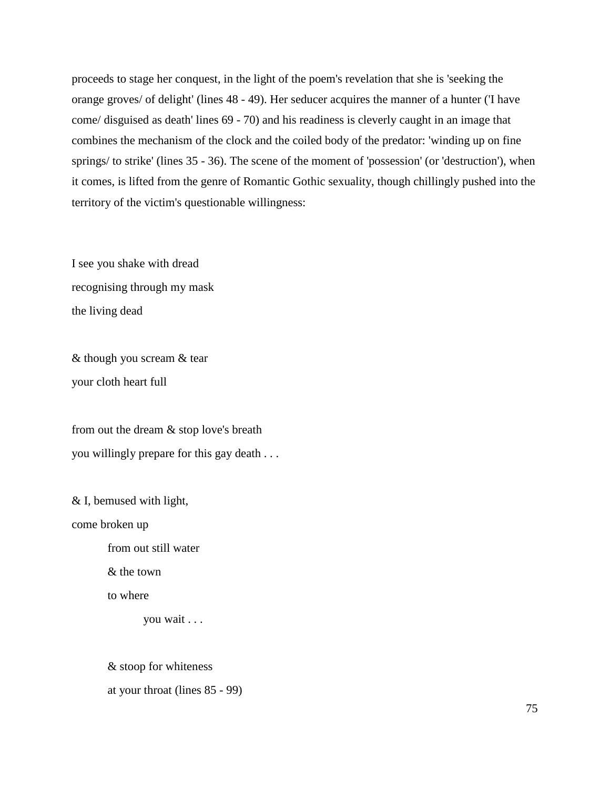proceeds to stage her conquest, in the light of the poem's revelation that she is 'seeking the orange groves/ of delight' (lines 48 - 49). Her seducer acquires the manner of a hunter ('I have come/ disguised as death' lines 69 - 70) and his readiness is cleverly caught in an image that combines the mechanism of the clock and the coiled body of the predator: 'winding up on fine springs/ to strike' (lines 35 - 36). The scene of the moment of 'possession' (or 'destruction'), when it comes, is lifted from the genre of Romantic Gothic sexuality, though chillingly pushed into the territory of the victim's questionable willingness:

I see you shake with dread recognising through my mask the living dead

& though you scream & tear your cloth heart full

from out the dream & stop love's breath you willingly prepare for this gay death . . .

& I, bemused with light,

come broken up

from out still water

& the town

to where

you wait . . .

& stoop for whiteness at your throat (lines 85 - 99)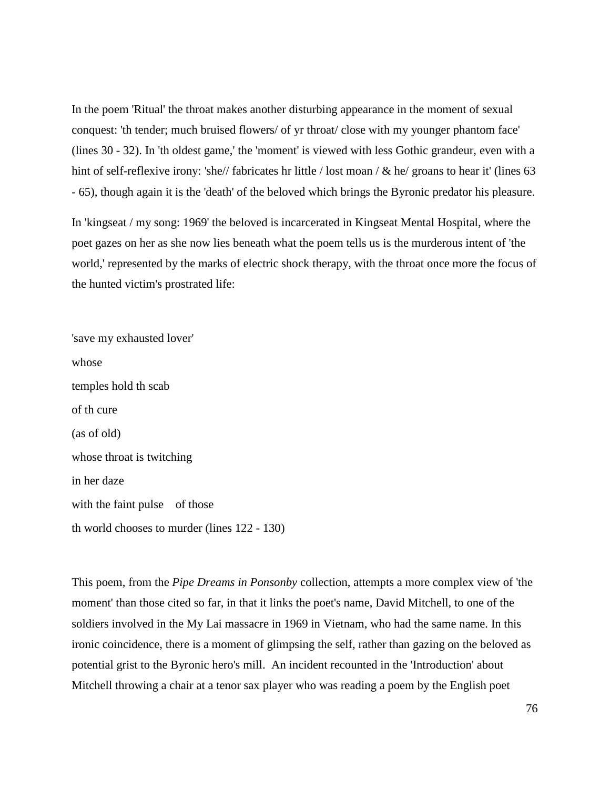In the poem 'Ritual' the throat makes another disturbing appearance in the moment of sexual conquest: 'th tender; much bruised flowers/ of yr throat/ close with my younger phantom face' (lines 30 - 32). In 'th oldest game,' the 'moment' is viewed with less Gothic grandeur, even with a hint of self-reflexive irony: 'she// fabricates hr little / lost moan / & he/ groans to hear it' (lines 63) - 65), though again it is the 'death' of the beloved which brings the Byronic predator his pleasure.

In 'kingseat / my song: 1969' the beloved is incarcerated in Kingseat Mental Hospital, where the poet gazes on her as she now lies beneath what the poem tells us is the murderous intent of 'the world,' represented by the marks of electric shock therapy, with the throat once more the focus of the hunted victim's prostrated life:

'save my exhausted lover' whose temples hold th scab of th cure (as of old) whose throat is twitching in her daze with the faint pulse of those th world chooses to murder (lines 122 - 130)

This poem, from the *Pipe Dreams in Ponsonby* collection, attempts a more complex view of 'the moment' than those cited so far, in that it links the poet's name, David Mitchell, to one of the soldiers involved in the My Lai massacre in 1969 in Vietnam, who had the same name. In this ironic coincidence, there is a moment of glimpsing the self, rather than gazing on the beloved as potential grist to the Byronic hero's mill. An incident recounted in the 'Introduction' about Mitchell throwing a chair at a tenor sax player who was reading a poem by the English poet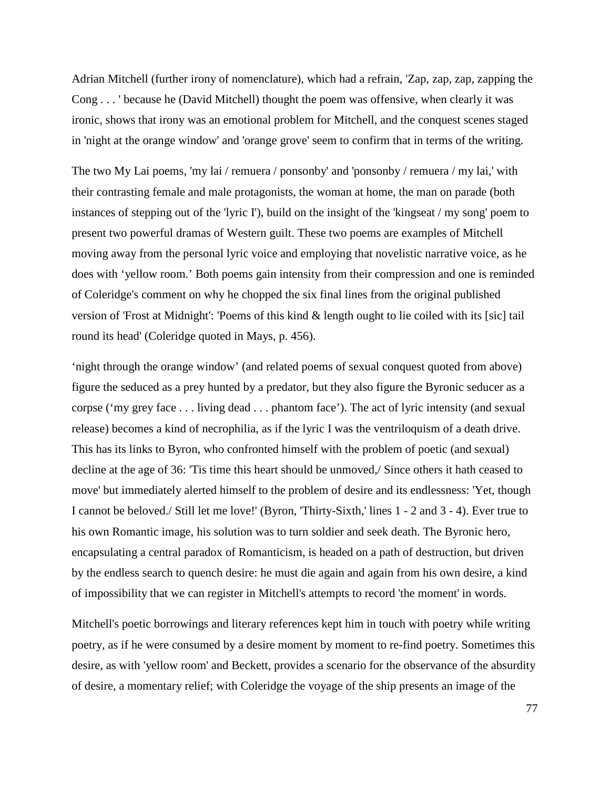Adrian Mitchell (further irony of nomenclature), which had a refrain, 'Zap, zap, zap, zapping the Cong . . . ' because he (David Mitchell) thought the poem was offensive, when clearly it was ironic, shows that irony was an emotional problem for Mitchell, and the conquest scenes staged in 'night at the orange window' and 'orange grove' seem to confirm that in terms of the writing.

The two My Lai poems, 'my lai / remuera / ponsonby' and 'ponsonby / remuera / my lai,' with their contrasting female and male protagonists, the woman at home, the man on parade (both instances of stepping out of the 'lyric I'), build on the insight of the 'kingseat / my song' poem to present two powerful dramas of Western guilt. These two poems are examples of Mitchell moving away from the personal lyric voice and employing that novelistic narrative voice, as he does with 'yellow room.' Both poems gain intensity from their compression and one is reminded of Coleridge's comment on why he chopped the six final lines from the original published version of 'Frost at Midnight': 'Poems of this kind & length ought to lie coiled with its [sic] tail round its head' (Coleridge quoted in Mays, p. 456).

'night through the orange window' (and related poems of sexual conquest quoted from above) figure the seduced as a prey hunted by a predator, but they also figure the Byronic seducer as a corpse ('my grey face . . . living dead . . . phantom face'). The act of lyric intensity (and sexual release) becomes a kind of necrophilia, as if the lyric I was the ventriloquism of a death drive. This has its links to Byron, who confronted himself with the problem of poetic (and sexual) decline at the age of 36: 'Tis time this heart should be unmoved,/ Since others it hath ceased to move' but immediately alerted himself to the problem of desire and its endlessness: 'Yet, though I cannot be beloved./ Still let me love!' (Byron, 'Thirty-Sixth,' lines 1 - 2 and 3 - 4). Ever true to his own Romantic image, his solution was to turn soldier and seek death. The Byronic hero, encapsulating a central paradox of Romanticism, is headed on a path of destruction, but driven by the endless search to quench desire: he must die again and again from his own desire, a kind of impossibility that we can register in Mitchell's attempts to record 'the moment' in words.

Mitchell's poetic borrowings and literary references kept him in touch with poetry while writing poetry, as if he were consumed by a desire moment by moment to re-find poetry. Sometimes this desire, as with 'yellow room' and Beckett, provides a scenario for the observance of the absurdity of desire, a momentary relief; with Coleridge the voyage of the ship presents an image of the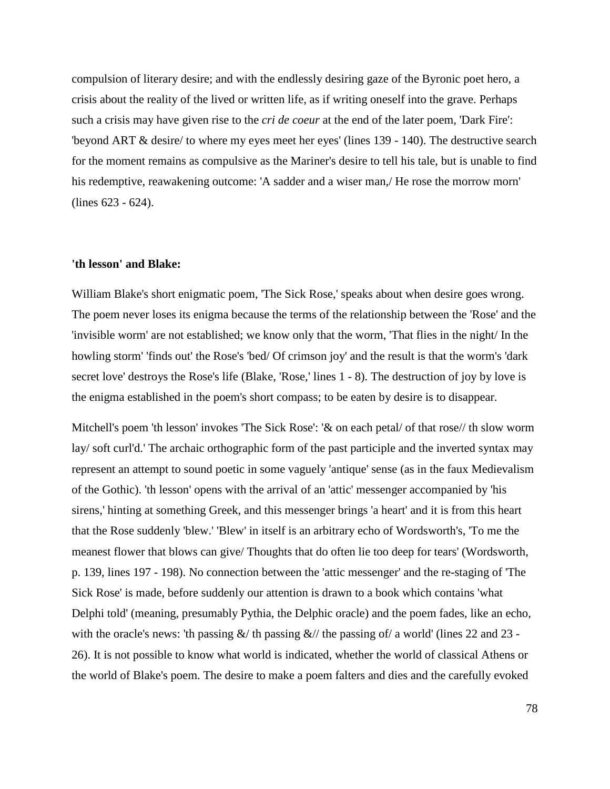compulsion of literary desire; and with the endlessly desiring gaze of the Byronic poet hero, a crisis about the reality of the lived or written life, as if writing oneself into the grave. Perhaps such a crisis may have given rise to the *cri de coeur* at the end of the later poem, 'Dark Fire': 'beyond ART & desire/ to where my eyes meet her eyes' (lines 139 - 140). The destructive search for the moment remains as compulsive as the Mariner's desire to tell his tale, but is unable to find his redemptive, reawakening outcome: 'A sadder and a wiser man, He rose the morrow morn' (lines 623 - 624).

# **'th lesson' and Blake:**

William Blake's short enigmatic poem, 'The Sick Rose,' speaks about when desire goes wrong. The poem never loses its enigma because the terms of the relationship between the 'Rose' and the 'invisible worm' are not established; we know only that the worm, 'That flies in the night/ In the howling storm' 'finds out' the Rose's 'bed/ Of crimson joy' and the result is that the worm's 'dark secret love' destroys the Rose's life (Blake, 'Rose,' lines 1 - 8). The destruction of joy by love is the enigma established in the poem's short compass; to be eaten by desire is to disappear.

Mitchell's poem 'th lesson' invokes 'The Sick Rose': '& on each petal/ of that rose// th slow worm lay/ soft curl'd.' The archaic orthographic form of the past participle and the inverted syntax may represent an attempt to sound poetic in some vaguely 'antique' sense (as in the faux Medievalism of the Gothic). 'th lesson' opens with the arrival of an 'attic' messenger accompanied by 'his sirens,' hinting at something Greek, and this messenger brings 'a heart' and it is from this heart that the Rose suddenly 'blew.' 'Blew' in itself is an arbitrary echo of Wordsworth's, 'To me the meanest flower that blows can give/ Thoughts that do often lie too deep for tears' (Wordsworth, p. 139, lines 197 - 198). No connection between the 'attic messenger' and the re-staging of 'The Sick Rose' is made, before suddenly our attention is drawn to a book which contains 'what Delphi told' (meaning, presumably Pythia, the Delphic oracle) and the poem fades, like an echo, with the oracle's news: 'th passing  $\&/$  th passing  $\&/$  the passing of/ a world' (lines 22 and 23 -26). It is not possible to know what world is indicated, whether the world of classical Athens or the world of Blake's poem. The desire to make a poem falters and dies and the carefully evoked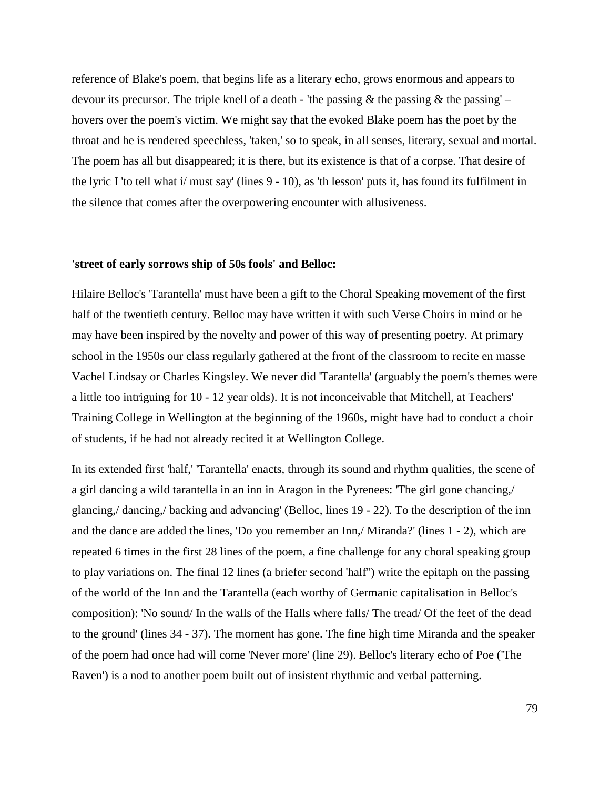reference of Blake's poem, that begins life as a literary echo, grows enormous and appears to devour its precursor. The triple knell of a death - 'the passing  $\&$  the passing  $\&$  the passing' – hovers over the poem's victim. We might say that the evoked Blake poem has the poet by the throat and he is rendered speechless, 'taken,' so to speak, in all senses, literary, sexual and mortal. The poem has all but disappeared; it is there, but its existence is that of a corpse. That desire of the lyric I 'to tell what i/ must say' (lines 9 - 10), as 'th lesson' puts it, has found its fulfilment in the silence that comes after the overpowering encounter with allusiveness.

## **'street of early sorrows ship of 50s fools' and Belloc:**

Hilaire Belloc's 'Tarantella' must have been a gift to the Choral Speaking movement of the first half of the twentieth century. Belloc may have written it with such Verse Choirs in mind or he may have been inspired by the novelty and power of this way of presenting poetry. At primary school in the 1950s our class regularly gathered at the front of the classroom to recite en masse Vachel Lindsay or Charles Kingsley. We never did 'Tarantella' (arguably the poem's themes were a little too intriguing for 10 - 12 year olds). It is not inconceivable that Mitchell, at Teachers' Training College in Wellington at the beginning of the 1960s, might have had to conduct a choir of students, if he had not already recited it at Wellington College.

In its extended first 'half,' 'Tarantella' enacts, through its sound and rhythm qualities, the scene of a girl dancing a wild tarantella in an inn in Aragon in the Pyrenees: 'The girl gone chancing,/ glancing,/ dancing,/ backing and advancing' (Belloc, lines 19 - 22). To the description of the inn and the dance are added the lines, 'Do you remember an Inn,/ Miranda?' (lines 1 - 2), which are repeated 6 times in the first 28 lines of the poem, a fine challenge for any choral speaking group to play variations on. The final 12 lines (a briefer second 'half'') write the epitaph on the passing of the world of the Inn and the Tarantella (each worthy of Germanic capitalisation in Belloc's composition): 'No sound/ In the walls of the Halls where falls/ The tread/ Of the feet of the dead to the ground' (lines 34 - 37). The moment has gone. The fine high time Miranda and the speaker of the poem had once had will come 'Never more' (line 29). Belloc's literary echo of Poe ('The Raven') is a nod to another poem built out of insistent rhythmic and verbal patterning.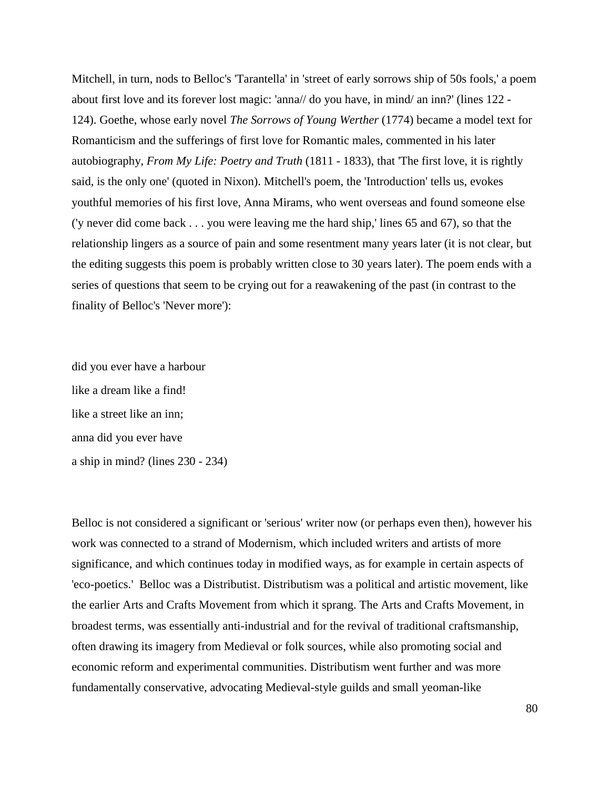Mitchell, in turn, nods to Belloc's 'Tarantella' in 'street of early sorrows ship of 50s fools,' a poem about first love and its forever lost magic: 'anna// do you have, in mind/ an inn?' (lines 122 - 124). Goethe, whose early novel *The Sorrows of Young Werther* (1774) became a model text for Romanticism and the sufferings of first love for Romantic males, commented in his later autobiography, *From My Life: Poetry and Truth* (1811 - 1833), that 'The first love, it is rightly said, is the only one' (quoted in Nixon). Mitchell's poem, the 'Introduction' tells us, evokes youthful memories of his first love, Anna Mirams, who went overseas and found someone else ('y never did come back . . . you were leaving me the hard ship,' lines 65 and 67), so that the relationship lingers as a source of pain and some resentment many years later (it is not clear, but the editing suggests this poem is probably written close to 30 years later). The poem ends with a series of questions that seem to be crying out for a reawakening of the past (in contrast to the finality of Belloc's 'Never more'):

did you ever have a harbour like a dream like a find! like a street like an inn; anna did you ever have a ship in mind? (lines 230 - 234)

Belloc is not considered a significant or 'serious' writer now (or perhaps even then), however his work was connected to a strand of Modernism, which included writers and artists of more significance, and which continues today in modified ways, as for example in certain aspects of 'eco-poetics.' Belloc was a Distributist. Distributism was a political and artistic movement, like the earlier Arts and Crafts Movement from which it sprang. The Arts and Crafts Movement, in broadest terms, was essentially anti-industrial and for the revival of traditional craftsmanship, often drawing its imagery from Medieval or folk sources, while also promoting social and economic reform and experimental communities. Distributism went further and was more fundamentally conservative, advocating Medieval-style guilds and small yeoman-like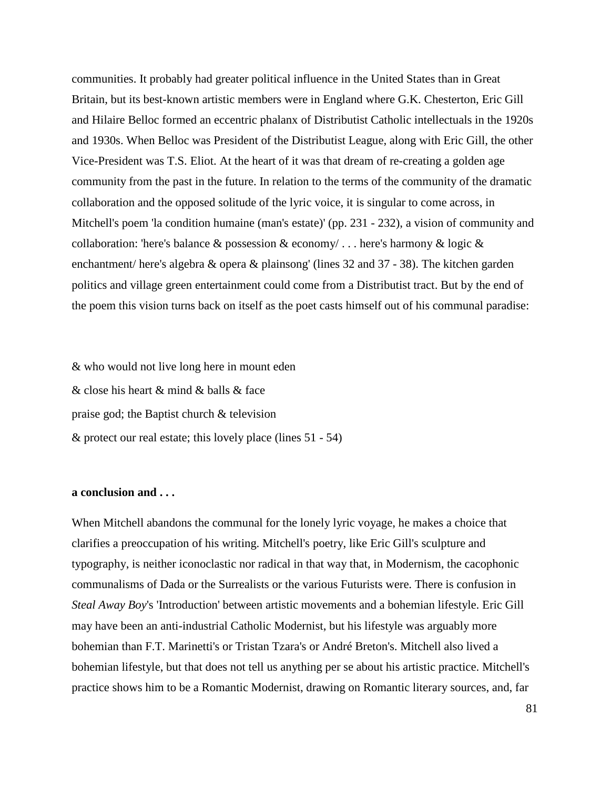communities. It probably had greater political influence in the United States than in Great Britain, but its best-known artistic members were in England where G.K. Chesterton, Eric Gill and Hilaire Belloc formed an eccentric phalanx of Distributist Catholic intellectuals in the 1920s and 1930s. When Belloc was President of the Distributist League, along with Eric Gill, the other Vice-President was T.S. Eliot. At the heart of it was that dream of re-creating a golden age community from the past in the future. In relation to the terms of the community of the dramatic collaboration and the opposed solitude of the lyric voice, it is singular to come across, in Mitchell's poem 'la condition humaine (man's estate)' (pp. 231 - 232), a vision of community and collaboration: 'here's balance & possession & economy/ . . . here's harmony & logic & enchantment/ here's algebra & opera & plainsong' (lines 32 and 37 - 38). The kitchen garden politics and village green entertainment could come from a Distributist tract. But by the end of the poem this vision turns back on itself as the poet casts himself out of his communal paradise:

& who would not live long here in mount eden & close his heart & mind & balls & face praise god; the Baptist church & television & protect our real estate; this lovely place (lines 51 - 54)

## **a conclusion and . . .**

When Mitchell abandons the communal for the lonely lyric voyage, he makes a choice that clarifies a preoccupation of his writing. Mitchell's poetry, like Eric Gill's sculpture and typography, is neither iconoclastic nor radical in that way that, in Modernism, the cacophonic communalisms of Dada or the Surrealists or the various Futurists were. There is confusion in *Steal Away Boy*'s 'Introduction' between artistic movements and a bohemian lifestyle. Eric Gill may have been an anti-industrial Catholic Modernist, but his lifestyle was arguably more bohemian than F.T. Marinetti's or Tristan Tzara's or André Breton's. Mitchell also lived a bohemian lifestyle, but that does not tell us anything per se about his artistic practice. Mitchell's practice shows him to be a Romantic Modernist, drawing on Romantic literary sources, and, far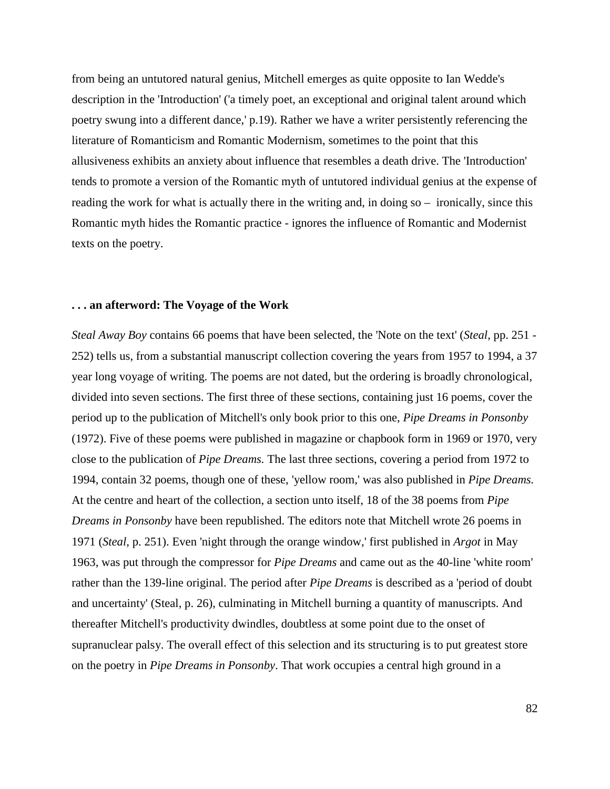from being an untutored natural genius, Mitchell emerges as quite opposite to Ian Wedde's description in the 'Introduction' ('a timely poet, an exceptional and original talent around which poetry swung into a different dance,' p.19). Rather we have a writer persistently referencing the literature of Romanticism and Romantic Modernism, sometimes to the point that this allusiveness exhibits an anxiety about influence that resembles a death drive. The 'Introduction' tends to promote a version of the Romantic myth of untutored individual genius at the expense of reading the work for what is actually there in the writing and, in doing so – ironically, since this Romantic myth hides the Romantic practice - ignores the influence of Romantic and Modernist texts on the poetry.

#### **. . . an afterword: The Voyage of the Work**

*Steal Away Boy* contains 66 poems that have been selected, the 'Note on the text' (*Steal,* pp. 251 - 252) tells us, from a substantial manuscript collection covering the years from 1957 to 1994, a 37 year long voyage of writing. The poems are not dated, but the ordering is broadly chronological, divided into seven sections. The first three of these sections, containing just 16 poems, cover the period up to the publication of Mitchell's only book prior to this one, *Pipe Dreams in Ponsonby* (1972). Five of these poems were published in magazine or chapbook form in 1969 or 1970, very close to the publication of *Pipe Dreams.* The last three sections, covering a period from 1972 to 1994, contain 32 poems, though one of these, 'yellow room,' was also published in *Pipe Dreams.*  At the centre and heart of the collection, a section unto itself, 18 of the 38 poems from *Pipe Dreams in Ponsonby* have been republished. The editors note that Mitchell wrote 26 poems in 1971 (*Steal,* p. 251). Even 'night through the orange window,' first published in *Argot* in May 1963, was put through the compressor for *Pipe Dreams* and came out as the 40-line 'white room' rather than the 139-line original. The period after *Pipe Dreams* is described as a 'period of doubt and uncertainty' (Steal, p. 26), culminating in Mitchell burning a quantity of manuscripts. And thereafter Mitchell's productivity dwindles, doubtless at some point due to the onset of supranuclear palsy. The overall effect of this selection and its structuring is to put greatest store on the poetry in *Pipe Dreams in Ponsonby*. That work occupies a central high ground in a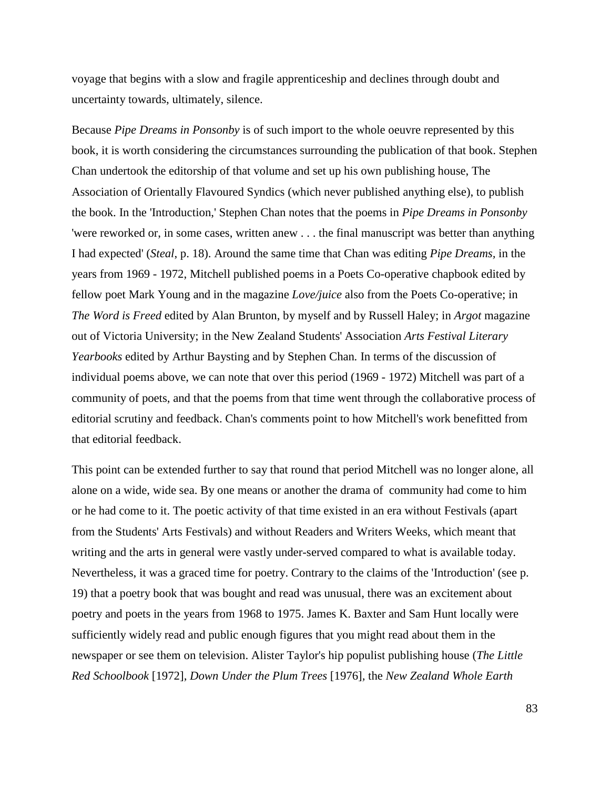voyage that begins with a slow and fragile apprenticeship and declines through doubt and uncertainty towards, ultimately, silence.

Because *Pipe Dreams in Ponsonby* is of such import to the whole oeuvre represented by this book, it is worth considering the circumstances surrounding the publication of that book. Stephen Chan undertook the editorship of that volume and set up his own publishing house, The Association of Orientally Flavoured Syndics (which never published anything else), to publish the book. In the 'Introduction,' Stephen Chan notes that the poems in *Pipe Dreams in Ponsonby*  'were reworked or, in some cases, written anew . . . the final manuscript was better than anything I had expected' (*Steal*, p. 18). Around the same time that Chan was editing *Pipe Dreams,* in the years from 1969 - 1972, Mitchell published poems in a Poets Co-operative chapbook edited by fellow poet Mark Young and in the magazine *Love/juice* also from the Poets Co-operative; in *The Word is Freed* edited by Alan Brunton, by myself and by Russell Haley; in *Argot* magazine out of Victoria University; in the New Zealand Students' Association *Arts Festival Literary Yearbooks* edited by Arthur Baysting and by Stephen Chan*.* In terms of the discussion of individual poems above, we can note that over this period (1969 - 1972) Mitchell was part of a community of poets, and that the poems from that time went through the collaborative process of editorial scrutiny and feedback. Chan's comments point to how Mitchell's work benefitted from that editorial feedback.

This point can be extended further to say that round that period Mitchell was no longer alone, all alone on a wide, wide sea. By one means or another the drama of community had come to him or he had come to it. The poetic activity of that time existed in an era without Festivals (apart from the Students' Arts Festivals) and without Readers and Writers Weeks, which meant that writing and the arts in general were vastly under-served compared to what is available today. Nevertheless, it was a graced time for poetry. Contrary to the claims of the 'Introduction' (see p. 19) that a poetry book that was bought and read was unusual, there was an excitement about poetry and poets in the years from 1968 to 1975. James K. Baxter and Sam Hunt locally were sufficiently widely read and public enough figures that you might read about them in the newspaper or see them on television. Alister Taylor's hip populist publishing house (*The Little Red Schoolbook* [1972]*, Down Under the Plum Trees* [1976]*,* the *New Zealand Whole Earth*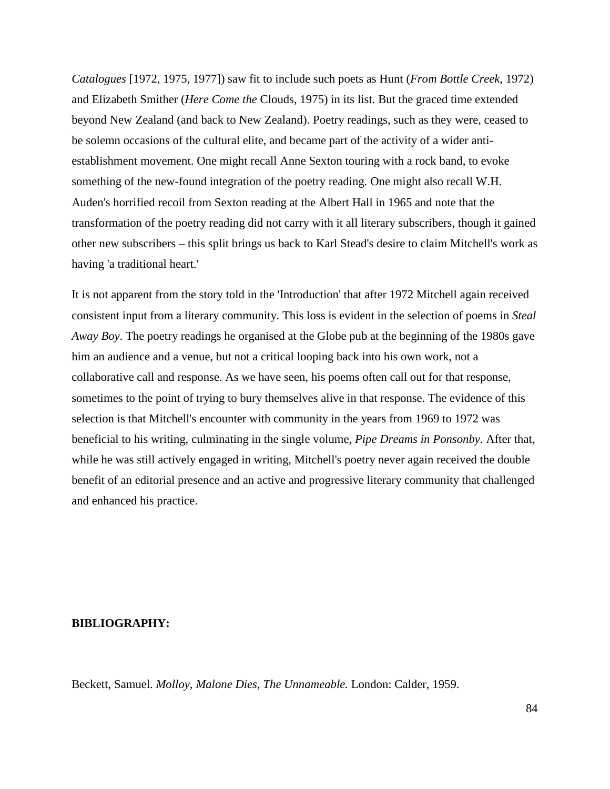*Catalogues* [1972, 1975, 1977]) saw fit to include such poets as Hunt (*From Bottle Creek*, 1972) and Elizabeth Smither (*Here Come the* Clouds, 1975) in its list. But the graced time extended beyond New Zealand (and back to New Zealand). Poetry readings, such as they were, ceased to be solemn occasions of the cultural elite, and became part of the activity of a wider antiestablishment movement. One might recall Anne Sexton touring with a rock band, to evoke something of the new-found integration of the poetry reading. One might also recall W.H. Auden's horrified recoil from Sexton reading at the Albert Hall in 1965 and note that the transformation of the poetry reading did not carry with it all literary subscribers, though it gained other new subscribers – this split brings us back to Karl Stead's desire to claim Mitchell's work as having 'a traditional heart.'

It is not apparent from the story told in the 'Introduction' that after 1972 Mitchell again received consistent input from a literary community. This loss is evident in the selection of poems in *Steal Away Boy*. The poetry readings he organised at the Globe pub at the beginning of the 1980s gave him an audience and a venue, but not a critical looping back into his own work, not a collaborative call and response. As we have seen, his poems often call out for that response, sometimes to the point of trying to bury themselves alive in that response. The evidence of this selection is that Mitchell's encounter with community in the years from 1969 to 1972 was beneficial to his writing, culminating in the single volume, *Pipe Dreams in Ponsonby*. After that, while he was still actively engaged in writing, Mitchell's poetry never again received the double benefit of an editorial presence and an active and progressive literary community that challenged and enhanced his practice.

# **BIBLIOGRAPHY:**

Beckett, Samuel. *Molloy, Malone Dies, The Unnameable.* London: Calder, 1959.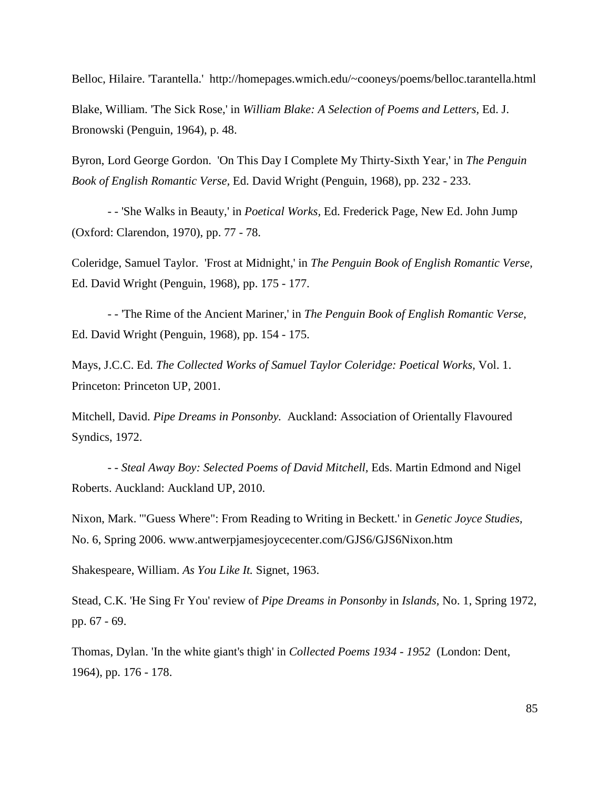Belloc, Hilaire. 'Tarantella.' http://homepages.wmich.edu/~cooneys/poems/belloc.tarantella.html Blake, William. 'The Sick Rose,' in *William Blake: A Selection of Poems and Letters,* Ed. J. Bronowski (Penguin, 1964), p. 48.

Byron, Lord George Gordon. 'On This Day I Complete My Thirty-Sixth Year,' in *The Penguin Book of English Romantic Verse,* Ed. David Wright (Penguin, 1968), pp. 232 - 233.

- - 'She Walks in Beauty,' in *Poetical Works,* Ed. Frederick Page, New Ed. John Jump (Oxford: Clarendon, 1970), pp. 77 - 78.

Coleridge, Samuel Taylor. 'Frost at Midnight,' in *The Penguin Book of English Romantic Verse,*  Ed. David Wright (Penguin, 1968), pp. 175 - 177.

- - 'The Rime of the Ancient Mariner,' in *The Penguin Book of English Romantic Verse,*  Ed. David Wright (Penguin, 1968), pp. 154 - 175.

Mays, J.C.C. Ed. *The Collected Works of Samuel Taylor Coleridge: Poetical Works,* Vol. 1. Princeton: Princeton UP, 2001.

Mitchell, David. *Pipe Dreams in Ponsonby.* Auckland: Association of Orientally Flavoured Syndics, 1972.

*- - Steal Away Boy: Selected Poems of David Mitchell,* Eds. Martin Edmond and Nigel Roberts. Auckland: Auckland UP, 2010.

Nixon, Mark. '"Guess Where": From Reading to Writing in Beckett.' in *Genetic Joyce Studies,*  No. 6, Spring 2006. www.antwerpjamesjoycecenter.com/GJS6/GJS6Nixon.htm

Shakespeare, William. *As You Like It.* Signet, 1963.

Stead, C.K. 'He Sing Fr You' review of *Pipe Dreams in Ponsonby* in *Islands,* No. 1, Spring 1972, pp. 67 - 69.

Thomas, Dylan. 'In the white giant's thigh' in *Collected Poems 1934 - 1952* (London: Dent, 1964), pp. 176 - 178.